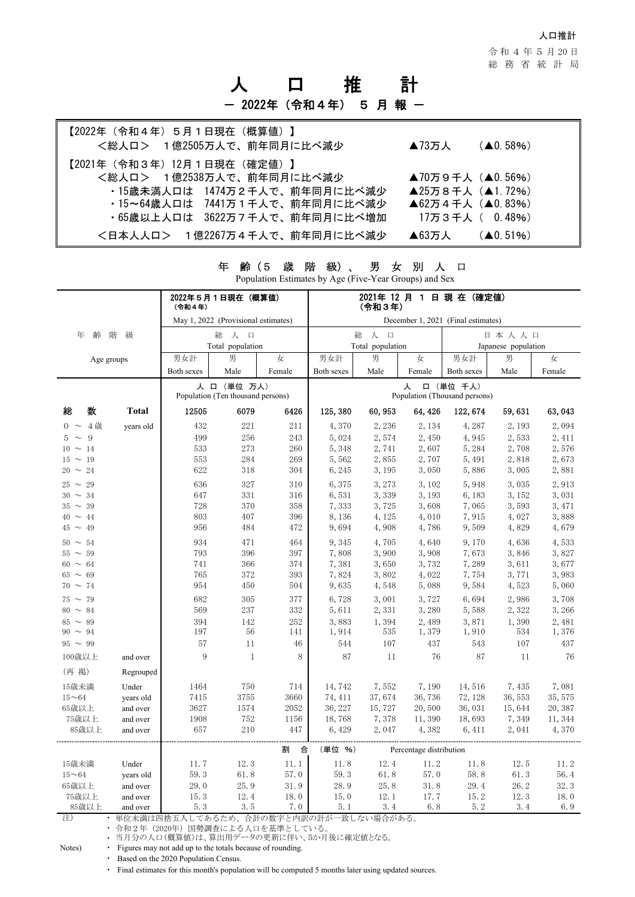人口推計

令 和 4 年 5 月 20 日 総務省統計局

# 人 口 推 計 - 2022年(令和4年) 5 月 報 一

| 【2022年(令和4年)5月1日現在(概算値)】<br><総人ロ> 1億2505万人で、前年同月に比べ減少           | $(40.58\%)$<br>$\blacktriangle$ 73万人 |
|-----------------------------------------------------------------|--------------------------------------|
| 【2021年(令和3年)12月1日現在(確定値)】<br><総人ロ> 1億2538万人で、前年同月に比べ減少          | ▲70万9千人 (▲0.56%)                     |
| ・15歳未満人口は 1474万2千人で、前年同月に比べ減少<br>・15~64歳人口は 7441万1千人で、前年同月に比べ減少 | ▲25万8千人 (▲1.72%)<br>▲62万4千人 (▲0.83%) |
| ・65歳以上人口は 3622万7千人で、前年同月に比べ増加                                   | 17万3千人( 0.48%)                       |
| <日本人人ロ> 1億2267万4千人で、前年同月に比べ減少                                   | $(40.51\%)$<br>$\blacktriangle$ 63万人 |

| $\frac{1}{2}$ operation Estimates by $\frac{1}{2}$ is $\frac{1}{2}$ in $\frac{1}{2}$ can exist be exponent |              |                                                                                                     |                  |            |                                    |                |                         |                     |                |                |  |
|------------------------------------------------------------------------------------------------------------|--------------|-----------------------------------------------------------------------------------------------------|------------------|------------|------------------------------------|----------------|-------------------------|---------------------|----------------|----------------|--|
|                                                                                                            |              | (令和4年)                                                                                              | 2022年5月1日現在(概算値) |            | 2021年 12 月 1 日 現 在 (確定値)<br>(令和3年) |                |                         |                     |                |                |  |
|                                                                                                            |              | May 1, 2022 (Provisional estimates)                                                                 |                  |            | December 1, 2021 (Final estimates) |                |                         |                     |                |                |  |
| 年<br>齢                                                                                                     | 階<br>級       |                                                                                                     | 総<br>人<br>$\Box$ |            |                                    | 総<br>人 口       |                         | 日本人人口               |                |                |  |
|                                                                                                            |              |                                                                                                     | Total population |            | Total population                   |                |                         | Japanese population |                |                |  |
| Age groups                                                                                                 |              | 男女計                                                                                                 | 男                | 女          | 男女計                                | 男              | 女                       | 男<br>男女計<br>女       |                |                |  |
|                                                                                                            |              | Both sexes                                                                                          | Male             | Female     | Both sexes                         | Male           | Female                  | Both sexes          | Male           | Female         |  |
|                                                                                                            |              | 人 口 (単位 万人)<br>口 (単位 千人)<br>人<br>Population (Thousand persons)<br>Population (Ten thousand persons) |                  |            |                                    |                |                         |                     |                |                |  |
| 数<br>総                                                                                                     | <b>Total</b> | 12505                                                                                               | 6079             | 6426       | 125, 380                           | 60, 953        | 64, 426                 | 122, 674            | 59, 631        | 63,043         |  |
| $0 \sim 4$ 歳                                                                                               | years old    | 432                                                                                                 | 221              | 211        | 4,370                              | 2,236          | 2, 134                  | 4,287               | 2, 193         | 2,094          |  |
| $5 \sim 9$                                                                                                 |              | 499                                                                                                 | 256              | 243        | 5,024                              | 2,574          | 2,450                   | 4,945               | 2,533          | 2, 411         |  |
| $10 \sim 14$                                                                                               |              | 533                                                                                                 | 273              | 260        | 5,348                              | 2,741          | 2,607                   | 5,284               | 2,708          | 2,576          |  |
| $15 \sim 19$                                                                                               |              | 553                                                                                                 | 284              | 269        | 5,562                              | 2,855          | 2,707                   | 5, 491              | 2,818          | 2,673          |  |
| $20 \sim 24$                                                                                               |              | 622                                                                                                 | 318              | 304        | 6, 245                             | 3, 195         | 3,050                   | 5,886               | 3,005          | 2,881          |  |
| $25 \sim 29$                                                                                               |              | 636                                                                                                 | 327              | 310        | 6,375                              | 3, 273         | 3,102                   | 5,948               | 3,035          | 2,913          |  |
| $30 \sim 34$                                                                                               |              | 647                                                                                                 | 331              | 316        | 6,531                              | 3,339          | 3, 193                  | 6,183               | 3, 152         | 3,031          |  |
| $35\,\sim\,39$                                                                                             |              | 728                                                                                                 | 370              | 358        | 7,333                              | 3,725          | 3,608                   | 7,065               | 3,593          | 3, 471         |  |
| $40 \sim 44$                                                                                               |              | 803                                                                                                 | 407              | 396        | 8,136                              | 4, 125         | 4,010                   | 7,915               | 4,027          | 3,888          |  |
| $45 \sim 49$                                                                                               |              | 956                                                                                                 | 484              | 472        | 9,694                              | 4,908          | 4,786                   | 9,509               | 4,829          | 4,679          |  |
| $50 \sim 54$                                                                                               |              | 934                                                                                                 | 471              | 464        | 9,345                              | 4,705          | 4,640                   | 9,170               | 4,636          | 4,533          |  |
| $55 \sim 59$                                                                                               |              | 793                                                                                                 | 396              | 397        | 7,808                              | 3,900          | 3,908                   | 7,673               | 3,846          | 3,827          |  |
| $60 \sim 64$                                                                                               |              | 741                                                                                                 | 366              | 374        | 7,381                              | 3,650          | 3,732                   | 7,289               | 3,611          | 3,677          |  |
| $65 \sim 69$                                                                                               |              | 765                                                                                                 | 372              | 393        | 7,824                              | 3,802          | 4,022                   | 7,754               | 3,771          | 3,983          |  |
| $70 \sim 74$                                                                                               |              | 954                                                                                                 | 450              | 504        | 9,635                              | 4,548          | 5,088                   | 9,584               | 4,523          | 5,060          |  |
|                                                                                                            |              |                                                                                                     |                  |            |                                    |                |                         |                     |                |                |  |
| $75 \sim 79$<br>$80 \sim 84$                                                                               |              | 682<br>569                                                                                          | 305<br>237       | 377<br>332 | 6,728                              | 3,001<br>2,331 | 3,727<br>3,280          | 6,694<br>5,588      | 2,986<br>2,322 | 3,708          |  |
|                                                                                                            |              |                                                                                                     |                  |            | 5,611                              |                |                         |                     |                | 3, 266         |  |
| $85 \sim 89$<br>$90 \sim 94$                                                                               |              | 394<br>197                                                                                          | 142<br>56        | 252<br>141 | 3,883<br>1,914                     | 1,394<br>535   | 2,489<br>1,379          | 3,871<br>1,910      | 1,390<br>534   | 2,481<br>1,376 |  |
| $95 \sim 99$                                                                                               |              | 57                                                                                                  | 11               | 46         | 544                                | 107            | 437                     | 543                 | 107            | 437            |  |
|                                                                                                            |              | 9                                                                                                   |                  |            |                                    |                |                         |                     |                |                |  |
| 100歳以上                                                                                                     | and over     |                                                                                                     | $\mathbf{1}$     | 8          | 87                                 | 11             | 76                      | 87                  | 11             | 76             |  |
| (再 掲)                                                                                                      | Regrouped    |                                                                                                     |                  |            |                                    |                |                         |                     |                |                |  |
| 15歳未満                                                                                                      | Under        | 1464                                                                                                | 750              | 714        | 14,742                             | 7,552          | 7,190                   | 14,516              | 7,435          | 7,081          |  |
| $15 - 64$                                                                                                  | years old    | 7415                                                                                                | 3755             | 3660       | 74, 411                            | 37,674         | 36,736                  | 72, 128             | 36, 553        | 35, 575        |  |
| 65歳以上                                                                                                      | and over     | 3627                                                                                                | 1574             | 2052       | 36, 227                            | 15,727         | 20,500                  | 36,031              | 15,644         | 20, 387        |  |
| 75歳以上                                                                                                      | and over     | 1908                                                                                                | 752              | 1156       | 18,768                             | 7,378          | 11,390                  | 18,693              | 7,349          | 11, 344        |  |
| 85歳以上                                                                                                      | and over     | 657                                                                                                 | 210              | 447        | 6,429                              | 2,047          | 4,382                   | 6, 411              | 2,041          | 4,370          |  |
|                                                                                                            |              |                                                                                                     |                  | 割<br>合     | (単位 %)                             |                | Percentage distribution |                     |                |                |  |
| 15歳未満                                                                                                      | Under        | 11.7                                                                                                | 12.3             | 11.1       | 11.8                               | 12.4           | 11.2                    | 11.8                | 12.5           | 11.2           |  |
| $15 - 64$                                                                                                  | years old    | 59.3                                                                                                | 61.8             | 57.0       | 59.3                               | 61.8           | 57.0                    | 58.8                | 61.3           | 56.4           |  |
| 65歳以上                                                                                                      | and over     | 29.0                                                                                                | 25.9             | 31.9       | 28.9                               | 25.8           | 31.8                    | 29.4                | 26.2           | 32.3           |  |
| 75歳以上                                                                                                      | and over     | 15.3                                                                                                | 12.4             | 18.0       | 15.0                               | 12.1           | 17.7                    | 15.2                | 12.3           | 18.0           |  |
| 85歳以上                                                                                                      | and over     | 5.3                                                                                                 | 3.5              | 7.0        | 5.1                                | 3.4            | 6.8                     | 5.2                 | 3.4            | 6.9            |  |

年 齢(5 歳 階 級)、 男 女 別 人 口

Population Estimates by Age (Five-Year Groups) and Sex

注) ・ 単位未満は四捨五入してあるため、合計の数字と内訳の計が一致しない場合がある。

・ 令和2年(2020年)国勢調査による人口を基準としている。

・ 当月分の人口(概算値)は、算出用データの更新に伴い、5か月後に確定値となる。

Notes) • Figures may not add up to the totals because of rounding.

・ Based on the 2020 Population Census.

・ Final estimates for this month's population will be computed 5 months later using updated sources.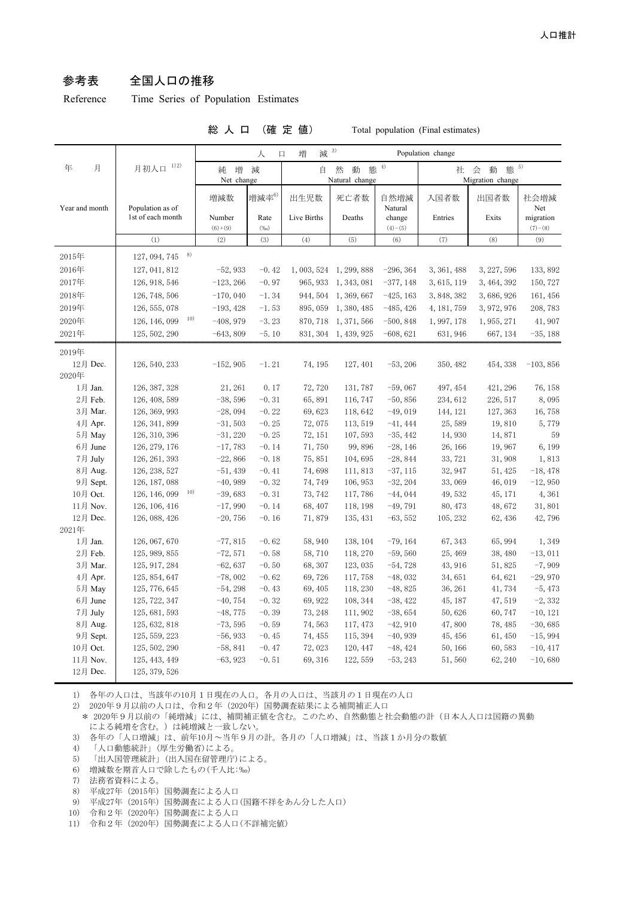### 参考表 全国人口の推移

Reference Time Series of Population Estimates

#### 総 人 口 (確 定 値) Total population (Final estimates)

|                      |                                | 3)<br>減<br>増<br>Population change<br>人<br>$\Box$ |                    |                                         |                      |                          |                                         |                   |                         |
|----------------------|--------------------------------|--------------------------------------------------|--------------------|-----------------------------------------|----------------------|--------------------------|-----------------------------------------|-------------------|-------------------------|
| 月<br>年               | 月初人口 1)2)                      | 増<br>純<br>Net change                             | 減                  | 態 $4)$<br>然<br>動<br>自<br>Natural change |                      |                          | 態 5)<br>動<br>社<br>会<br>Migration change |                   |                         |
| Year and month       | Population as of               | 増減数                                              | 増減率6)              | 出生児数                                    | 死亡者数                 | 自然増減<br>Natural          | 入国者数                                    | 出国者数              | 社会増減<br>Net             |
|                      | 1st of each month              | Number<br>$(6)+(9)$                              | Rate<br>$(\%)$     | Live Births                             | Deaths               | change<br>$(4)-(5)$      | Entries                                 | Exits             | migration<br>$(7)-(8)$  |
|                      | (1)                            | (2)                                              | (3)                | (4)                                     | (5)                  | (6)                      | (7)                                     | (8)               | (9)                     |
| 2015年                | 8)<br>127, 094, 745            |                                                  |                    |                                         |                      |                          |                                         |                   |                         |
| 2016年                | 127, 041, 812                  | $-52,933$                                        | $-0.42$            | 1,003,524                               | 1, 299, 888          | $-296, 364$              | 3, 361, 488                             | 3, 227, 596       | 133, 892                |
| 2017年                | 126, 918, 546                  | $-123, 266$                                      | $-0.97$            | 965, 933                                | 1, 343, 081          | $-377, 148$              | 3, 615, 119                             | 3, 464, 392       | 150, 727                |
| 2018年                | 126, 748, 506                  | $-170,040$                                       | $-1.34$            | 944, 504                                | 1, 369, 667          | $-425, 163$              | 3, 848, 382                             | 3,686,926         | 161, 456                |
| 2019年                | 126, 555, 078                  | $-193, 428$                                      | $-1.53$            | 895, 059                                | 1, 380, 485          | $-485, 426$              | 4, 181, 759                             | 3, 972, 976       | 208,783                 |
| 2020年                | 10)<br>126, 146, 099           | $-408,979$                                       | $-3.23$            | 870, 718                                | 1, 371, 566          | $-500, 848$              | 1, 997, 178                             | 1, 955, 271       | 41,907                  |
| 2021年                | 125, 502, 290                  | $-643,809$                                       | $-5.10$            | 831, 304                                | 1, 439, 925          | $-608, 621$              | 631, 946                                | 667, 134          | $-35,188$               |
| 2019年                |                                |                                                  |                    |                                         |                      |                          |                                         |                   |                         |
| 12月 Dec.             | 126, 540, 233                  | $-152,905$                                       | $-1.21$            | 74, 195                                 | 127, 401             | $-53, 206$               | 350, 482                                | 454, 338          | $-103, 856$             |
| 2020年                |                                |                                                  |                    |                                         |                      |                          |                                         |                   |                         |
| 1月 Jan.              | 126, 387, 328                  | 21, 261                                          | 0.17               | 72,720                                  | 131,787              | $-59,067$                | 497, 454                                | 421, 296          | 76, 158                 |
| 2月 Feb.              | 126, 408, 589                  | $-38,596$                                        | $-0.31$            | 65,891                                  | 116, 747             | $-50, 856$               | 234, 612                                | 226, 517          | 8,095                   |
| 3月 Mar.              | 126, 369, 993                  | $-28,094$                                        | $-0.22$            | 69,623                                  | 118,642              | $-49,019$                | 144, 121                                | 127, 363          | 16,758                  |
| 4月 Apr.              | 126, 341, 899                  | $-31,503$                                        | $-0.25$            | 72,075                                  | 113, 519             | $-41, 444$               | 25,589                                  | 19,810            | 5,779                   |
| 5月 May               | 126, 310, 396                  | $-31,220$                                        | $-0.25$            | 72, 151                                 | 107,593              | $-35, 442$               | 14,930                                  | 14,871            | 59                      |
| 6月 June              | 126, 279, 176                  | $-17,783$                                        | $-0.14$            | 71,750                                  | 99,896               | $-28, 146$               | 26, 166                                 | 19,967            | 6,199                   |
| 7月 July              | 126, 261, 393                  | $-22,866$                                        | $-0.18$            | 75,851                                  | 104,695              | $-28,844$                | 33, 721                                 | 31,908            | 1,813                   |
| 8月 Aug.              | 126, 238, 527                  | $-51,439$                                        | $-0.41$            | 74,698                                  | 111,813              | $-37, 115$               | 32, 947                                 | 51, 425           | $-18,478$               |
| 9月 Sept.             | 126, 187, 088                  | $-40,989$                                        | $-0.32$            | 74,749                                  | 106, 953             | $-32, 204$               | 33,069                                  | 46,019            | $-12,950$               |
| 10月 Oct.             | 10)<br>126, 146, 099           | $-39,683$                                        | $-0.31$            | 73, 742                                 | 117,786              | $-44,044$                | 49,532                                  | 45, 171           | 4,361                   |
| 11月 Nov.             | 126, 106, 416                  | $-17,990$                                        | $-0.14$            | 68,407                                  | 118, 198             | $-49,791$                | 80, 473                                 | 48,672            | 31,801                  |
| 12月 Dec.             | 126, 088, 426                  | $-20,756$                                        | $-0.16$            | 71,879                                  | 135, 431             | $-63,552$                | 105, 232                                | 62, 436           | 42,796                  |
| 2021年                |                                |                                                  |                    |                                         |                      |                          |                                         |                   |                         |
| 1月 Jan.              |                                |                                                  |                    |                                         |                      |                          |                                         |                   |                         |
| 2月 Feb.              | 126, 067, 670                  | $-77,815$                                        | $-0.62$            | 58,940                                  | 138, 104             | $-79, 164$               | 67, 343                                 | 65, 994           | 1,349                   |
| 3月 Mar.              | 125, 989, 855                  | $-72,571$                                        | $-0.58$            | 58,710                                  | 118, 270             | $-59,560$                | 25, 469                                 | 38, 480           | $-13,011$               |
|                      | 125, 917, 284                  | $-62,637$                                        | $-0.50$            | 68,307                                  | 123,035              | $-54,728$                | 43, 916                                 | 51,825            | $-7,909$                |
| 4月 Apr.              | 125, 854, 647                  | $-78,002$                                        | $-0.62$            | 69,726                                  | 117,758              | $-48,032$                | 34,651                                  | 64,621            | $-29,970$               |
| 5月 May               | 125, 776, 645                  | $-54,298$                                        | $-0.43$            | 69, 405                                 | 118, 230             | $-48,825$                | 36, 261                                 | 41,734            | $-5,473$                |
| 6月 June              | 125, 722, 347                  | $-40,754$                                        | $-0.32$            | 69, 922                                 | 108, 344             | $-38, 422$               | 45, 187                                 | 47,519            | $-2,332$                |
| 7月 July              | 125, 681, 593                  | $-48,775$                                        | $-0.39$            | 73, 248                                 | 111,902              | $-38,654$                | 50,626                                  | 60,747            | $-10, 121$              |
| 8月 Aug.              | 125, 632, 818                  | $-73,595$                                        | $-0.59$            | 74,563                                  | 117, 473             | $-42,910$                | 47,800                                  | 78, 485           | $-30,685$               |
| 9月 Sept.             | 125, 559, 223                  | $-56,933$                                        | $-0.45$            | 74, 455                                 | 115, 394             | $-40,939$                | 45, 456                                 | 61,450            | $-15,994$               |
| 10月 Oct.<br>11月 Nov. | 125, 502, 290<br>125, 443, 449 | $-58,841$<br>$-63,923$                           | $-0.47$<br>$-0.51$ | 72,023<br>69, 316                       | 120, 447<br>122, 559 | $-48, 424$<br>$-53, 243$ | 50, 166<br>51,560                       | 60,583<br>62, 240 | $-10, 417$<br>$-10,680$ |

1) 各年の人口は、当該年の10月1日現在の人口。各月の人口は、当該月の1日現在の人口

2) 2020年9月以前の人口は、令和2年(2020年)国勢調査結果による補間補正人口

\* 2020年9月以前の「純増減」には、補間補正値を含む。このため、自然動態と社会動態の計(日本人人口は国籍の異動 による純増を含む。)は純増減と一致しない。

- 3) 各年の「人口増減」は、前年10月~当年9月の計。各月の「人口増減」は、当該1か月分の数値
- 4) 「人口動態統計」(厚生労働省)による。
- 5) 「出入国管理統計」(出入国在留管理庁)による。
- 6) 増減数を期首人口で除したもの(千人比:‰)
- 7) 法務省資料による。
- 8) 平成27年(2015年)国勢調査による人口
- 9) 平成27年(2015年)国勢調査による人口(国籍不祥をあん分した人口)
- 10) 令和2年(2020年)国勢調査による人口
- 11) 令和2年(2020年)国勢調査による人口(不詳補完値)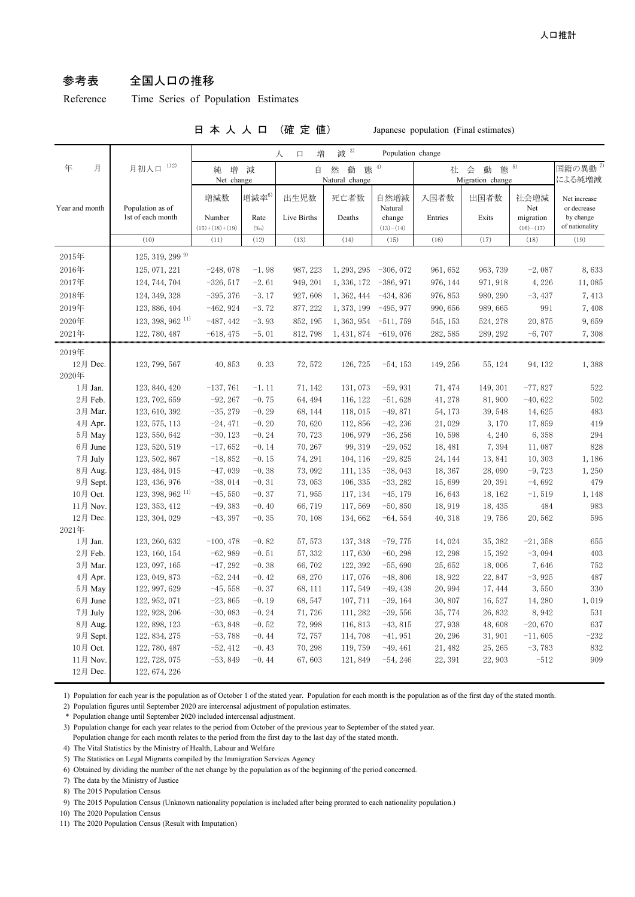### 参考表 全国人口の推移

Reference Time Series of Population Estimates

#### 日 本 人 人 口 (確 定 値) Japanese population (Final estimates)

|                      |                                                 |                                   |                           | 増<br>人<br>口         | 减 3)                          | Population change                        |                                         |                   |                                         |                                                            |
|----------------------|-------------------------------------------------|-----------------------------------|---------------------------|---------------------|-------------------------------|------------------------------------------|-----------------------------------------|-------------------|-----------------------------------------|------------------------------------------------------------|
| 年<br>月               | 1) 2)<br>月初人口                                   | 増<br>純<br>Net change              | 減                         | 自                   | 然<br>熊<br>動<br>Natural change | 4)                                       | 態 5)<br>社<br>会<br>動<br>Migration change |                   |                                         | 国籍の異動 <sup>7)</sup><br>による純増減                              |
| Year and month       | Population as of<br>1st of each month           | 増減数<br>Number<br>$(15)+(18)+(19)$ | 増減率6)<br>Rate<br>$(\%_0)$ | 出生児数<br>Live Births | 死亡者数<br>Deaths                | 自然増減<br>Natural<br>change<br>$(13)-(14)$ | 入国者数<br>Entries                         | 出国者数<br>Exits     | 社会増減<br>Net<br>migration<br>$(16)-(17)$ | Net increase<br>or decrease<br>by change<br>of nationality |
|                      | (10)                                            | (11)                              | (12)                      | (13)                | (14)                          | (15)                                     | (16)                                    | (17)              | (18)                                    | (19)                                                       |
|                      | 125, 319, 299 <sup>9)</sup>                     |                                   |                           |                     |                               |                                          |                                         |                   |                                         |                                                            |
| 2015年<br>2016年       | 125, 071, 221                                   |                                   |                           | 987, 223            | 1, 293, 295                   | $-306,072$                               |                                         |                   | $-2,087$                                | 8,633                                                      |
| 2017年                | 124, 744, 704                                   | $-248,078$<br>$-326, 517$         | $-1.98$<br>$-2.61$        | 949, 201            | 1, 336, 172                   | $-386, 971$                              | 961, 652<br>976, 144                    | 963, 739          | 4,226                                   | 11,085                                                     |
| 2018年                |                                                 |                                   |                           |                     |                               |                                          |                                         | 971, 918          |                                         |                                                            |
| 2019年                | 124, 349, 328                                   | $-395, 376$                       | $-3.17$                   | 927,608             | 1, 362, 444                   | $-434,836$                               | 976, 853                                | 980, 290          | $-3,437$                                | 7,413                                                      |
|                      | 123, 886, 404                                   | $-462,924$                        | $-3.72$                   | 877, 222            | 1, 373, 199                   | $-495,977$                               | 990,656                                 | 989,665           | 991                                     | 7,408                                                      |
| 2020年                | 123, 398, 962 <sup>11)</sup>                    | $-487, 442$                       | $-3.93$                   | 852, 195            | 1, 363, 954                   | $-511,759$                               | 545, 153                                | 524, 278          | 20,875                                  | 9,659                                                      |
| 2021年                | 122, 780, 487                                   | $-618, 475$                       | $-5.01$                   | 812,798             | 1, 431, 874                   | $-619,076$                               | 282, 585                                | 289, 292          | $-6,707$                                | 7,308                                                      |
| 2019年                |                                                 |                                   |                           |                     |                               |                                          |                                         |                   |                                         |                                                            |
| 12月 Dec.             | 123, 799, 567                                   | 40,853                            | 0.33                      | 72,572              | 126,725                       | $-54, 153$                               | 149, 256                                | 55, 124           | 94, 132                                 | 1,388                                                      |
| 2020年                |                                                 |                                   |                           |                     |                               |                                          |                                         |                   |                                         |                                                            |
| 1月 Jan.              | 123, 840, 420                                   | $-137,761$                        | $-1.11$                   | 71, 142             | 131,073                       | $-59,931$                                | 71, 474                                 | 149, 301          | $-77,827$                               | 522                                                        |
| 2月 Feb.              | 123, 702, 659                                   | $-92, 267$                        | $-0.75$                   | 64, 494             | 116, 122                      | $-51,628$                                | 41,278                                  | 81,900            | $-40,622$                               | 502                                                        |
| 3月 Mar.              | 123, 610, 392                                   | $-35, 279$                        | $-0.29$                   | 68, 144             | 118,015                       | $-49,871$                                | 54, 173                                 | 39, 548           | 14,625                                  | 483                                                        |
| 4月 Apr.              | 123, 575, 113                                   | $-24,471$                         | $-0.20$                   | 70,620              | 112,856                       | $-42, 236$                               | 21,029                                  | 3,170             | 17,859                                  | 419                                                        |
| 5月 May               | 123, 550, 642                                   | $-30, 123$                        | $-0.24$                   | 70,723              | 106, 979                      | $-36, 256$                               | 10,598                                  | 4,240             | 6,358                                   | 294                                                        |
| 6月 June              | 123, 520, 519                                   | $-17,652$                         | $-0.14$                   | 70, 267             | 99, 319                       | $-29,052$                                | 18,481                                  | 7,394             | 11,087                                  | 828                                                        |
| 7月 July              | 123, 502, 867                                   | $-18,852$                         | $-0.15$                   | 74, 291             | 104, 116                      | $-29,825$                                | 24, 144                                 | 13,841            | 10,303                                  | 1,186                                                      |
| 8月 Aug.              | 123, 484, 015                                   | $-47,039$                         | $-0.38$                   | 73,092              | 111, 135                      | $-38,043$                                | 18,367                                  | 28,090            | $-9,723$                                | 1,250                                                      |
| 9月 Sept.             | 123, 436, 976                                   | $-38,014$                         | $-0.31$                   | 73,053              | 106, 335                      | $-33,282$                                | 15,699                                  | 20, 391           | $-4,692$                                | 479                                                        |
| 10月 Oct.<br>11月 Nov. | $123, 398, 962$ <sup>11)</sup><br>123, 353, 412 | $-45,550$<br>$-49,383$            | $-0.37$<br>$-0.40$        | 71,955<br>66,719    | 117, 134<br>117,569           | $-45, 179$<br>$-50, 850$                 | 16,643<br>18,919                        | 18, 162           | $-1, 519$<br>484                        | 1,148<br>983                                               |
| 12月 Dec.             | 123, 304, 029                                   | $-43,397$                         | $-0.35$                   | 70, 108             | 134,662                       | $-64,554$                                | 40, 318                                 | 18, 435<br>19,756 | 20,562                                  | 595                                                        |
| 2021年                |                                                 |                                   |                           |                     |                               |                                          |                                         |                   |                                         |                                                            |
| 1月 Jan.              | 123, 260, 632                                   | $-100, 478$                       | $-0.82$                   | 57, 573             | 137, 348                      | $-79,775$                                | 14,024                                  | 35, 382           | $-21,358$                               | 655                                                        |
| 2月 Feb.              | 123, 160, 154                                   | $-62,989$                         | $-0.51$                   | 57, 332             | 117,630                       | $-60, 298$                               | 12, 298                                 | 15, 392           | $-3,094$                                | 403                                                        |
| 3月 Mar.              | 123, 097, 165                                   | $-47, 292$                        | $-0.38$                   | 66,702              | 122, 392                      | $-55,690$                                | 25,652                                  | 18,006            | 7,646                                   | 752                                                        |
| 4月 Apr.              | 123, 049, 873                                   | $-52, 244$                        | $-0.42$                   | 68,270              | 117,076                       | $-48,806$                                | 18,922                                  | 22,847            | $-3,925$                                | 487                                                        |
| 5月 May               | 122, 997, 629                                   | $-45,558$                         | $-0.37$                   | 68, 111             | 117,549                       | $-49,438$                                | 20,994                                  | 17, 444           | 3,550                                   | 330                                                        |
| 6月 June              | 122, 952, 071                                   | $-23,865$                         | $-0.19$                   | 68,547              | 107, 711                      | $-39, 164$                               | 30,807                                  | 16,527            | 14,280                                  | 1,019                                                      |
| 7月 July              | 122, 928, 206                                   | $-30,083$                         | $-0.24$                   | 71,726              | 111,282                       | $-39,556$                                | 35,774                                  | 26,832            | 8,942                                   | 531                                                        |
| 8月 Aug.              | 122, 898, 123                                   | $-63,848$                         | $-0.52$                   | 72,998              | 116,813                       | $-43,815$                                | 27,938                                  | 48,608            | $-20,670$                               | 637                                                        |
| 9月 Sept.             | 122, 834, 275                                   | $-53,788$                         | $-0.44$                   | 72,757              | 114,708                       | $-41,951$                                | 20, 296                                 | 31,901            | $-11,605$                               | $-232$                                                     |
| 10月 Oct.             | 122, 780, 487                                   | $-52, 412$                        | $-0.43$                   | 70, 298             | 119,759                       | $-49, 461$                               | 21, 482                                 | 25, 265           | $-3,783$                                | 832                                                        |
| 11月 Nov.             | 122, 728, 075                                   | $-53,849$                         | $-0.44$                   | 67,603              | 121,849                       | $-54, 246$                               | 22, 391                                 | 22,903            | $-512$                                  | 909                                                        |
| 12月 Dec.             | 122, 674, 226                                   |                                   |                           |                     |                               |                                          |                                         |                   |                                         |                                                            |

1) Population for each year is the population as of October 1 of the stated year. Population for each month is the population as of the first day of the stated month.

2) Population figures until September 2020 are intercensal adjustment of population estimates.

\* Population change until September 2020 included intercensal adjustment.

 3) Population change for each year relates to the period from October of the previous year to September of the stated year. Population change for each month relates to the period from the first day to the last day of the stated month.

4) The Vital Statistics by the Ministry of Health, Labour and Welfare

5) The Statistics on Legal Migrants compiled by the Immigration Services Agency

6) Obtained by dividing the number of the net change by the population as of the beginning of the period concerned.

7) The data by the Ministry of Justice

8) The 2015 Population Census

9) The 2015 Population Census (Unknown nationality population is included after being prorated to each nationality population.)

10) The 2020 Population Census

11) The 2020 Population Census (Result with Imputation)